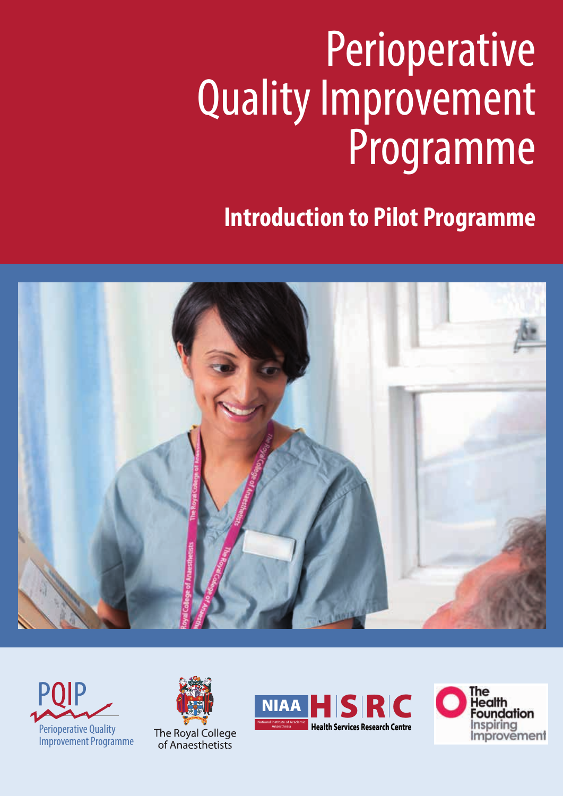# Perioperative Quality Improvement Programme

**Introduction to Pilot Programme**







**The Royal College** of Anaesthetists



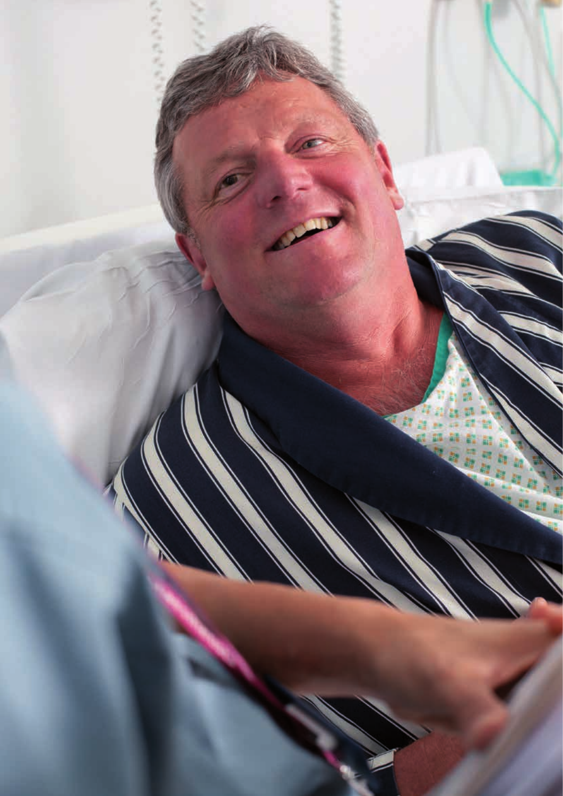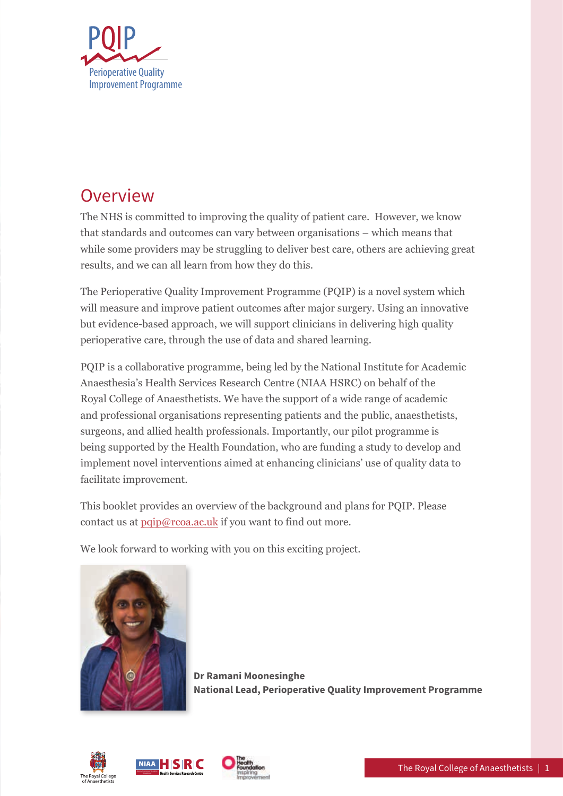

## Overview

The NHS is committed to improving the quality of patient care. However, we know that standards and outcomes can vary between organisations – which means that while some providers may be struggling to deliver best care, others are achieving great results, and we can all learn from how they do this.

The Perioperative Quality Improvement Programme (PQIP) is a novel system which will measure and improve patient outcomes after major surgery. Using an innovative but evidence-based approach, we will support clinicians in delivering high quality perioperative care, through the use of data and shared learning.

PQIP is a collaborative programme, being led by the National Institute for Academic Anaesthesia's Health Services Research Centre (NIAA HSRC) on behalf of the Royal College of Anaesthetists. We have the support of a wide range of academic and professional organisations representing patients and the public, anaesthetists, surgeons, and allied health professionals. Importantly, our pilot programme is being supported by the Health Foundation, who are funding a study to develop and implement novel interventions aimed at enhancing clinicians' use of quality data to facilitate improvement.

This booklet provides an overview of the background and plans for PQIP. Please contact us at [pqip@rcoa.ac.uk](mailto:pqip@rcoa.ac.uk) if you want to find out more.

We look forward to working with you on this exciting project.



**Dr Ramani Moonesinghe National Lead, Perioperative Quality Improvement Programme**





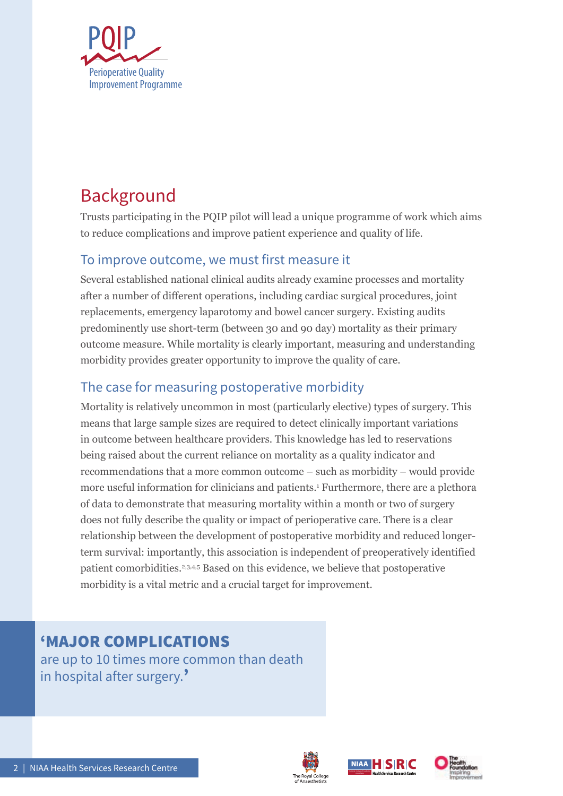

# Background

Trusts participating in the PQIP pilot will lead a unique programme of work which aims to reduce complications and improve patient experience and quality of life.

#### To improve outcome, we must first measure it

Several established national clinical audits already examine processes and mortality after a number of different operations, including cardiac surgical procedures, joint replacements, emergency laparotomy and bowel cancer surgery. Existing audits predominently use short-term (between 30 and 90 day) mortality as their primary outcome measure. While mortality is clearly important, measuring and understanding morbidity provides greater opportunity to improve the quality of care.

#### The case for measuring postoperative morbidity

Mortality is relatively uncommon in most (particularly elective) types of surgery. This means that large sample sizes are required to detect clinically important variations in outcome between healthcare providers. This knowledge has led to reservations being raised about the current reliance on mortality as a quality indicator and recommendations that a more common outcome – such as morbidity – would provide more useful information for clinicians and patients.<sup>1</sup> Furthermore, there are a plethora of data to demonstrate that measuring mortality within a month or two of surgery does not fully describe the quality or impact of perioperative care. There is a clear relationship between the development of postoperative morbidity and reduced longerterm survival: importantly, this association is independent of preoperatively identified patient comorbidities.<sup>2,3,4,5</sup> Based on this evidence, we believe that postoperative morbidity is a vital metric and a crucial target for improvement.

## 'MAJOR COMPLICATIONS

are up to 10 times more common than death in hospital after surgery.<sup>'</sup>





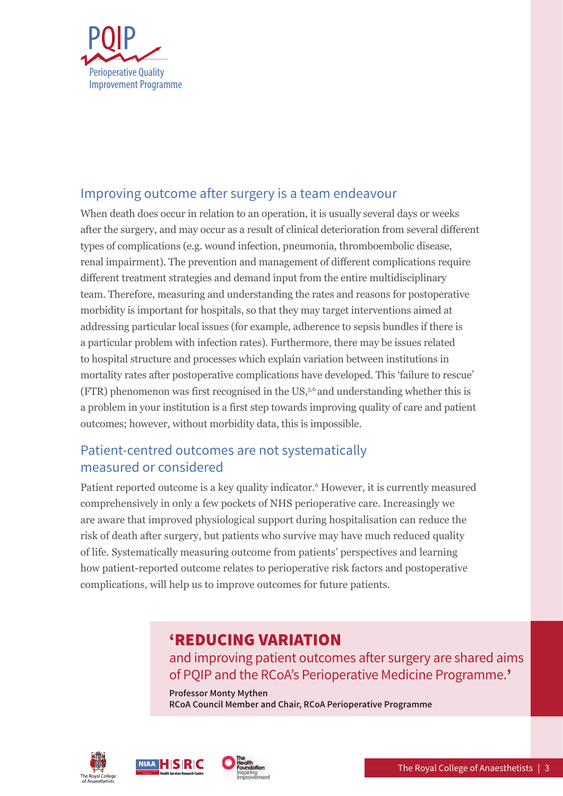

#### Improving outcome after surgery is a team endeavour

When death does occur in relation to an operation, it is usually several days or weeks after the surgery, and may occur as a result of clinical deterioration from several different types of complications (e.g. wound infection, pneumonia, thromboembolic disease, renal impairment). The prevention and management of different complications require different treatment strategies and demand input from the entire multidisciplinary team. Therefore, measuring and understanding the rates and reasons for postoperative morbidity is important for hospitals, so that they may target interventions aimed at addressing particular local issues (for example, adherence to sepsis bundles if there is a particular problem with infection rates). Furthermore, there may be issues related to hospital structure and processes which explain variation between institutions in mortality rates after postoperative complications have developed. This 'failure to rescue' (FTR) phenomenon was first recognised in the US,5,6 and understanding whether this is a problem in your institution is a first step towards improving quality of care and patient outcomes; however, without morbidity data, this is impossible.

#### Patient-centred outcomes are not systematically measured or considered

Patient reported outcome is a key quality indicator.<sup>6</sup> However, it is currently measured comprehensively in only a few pockets of NHS perioperative care. Increasingly we are aware that improved physiological support during hospitalisation can reduce the risk of death after surgery, but patients who survive may have much reduced quality of life. Systematically measuring outcome from patients' perspectives and learning how patient-reported outcome relates to perioperative risk factors and postoperative complications, will help us to improve outcomes for future patients.

## 'REDUCING VARIATION

and improving patient outcomes after surgery are shared aims of PQIP and the RCoA's Perioperative Medicine Programme.'

**Professor Monty Mythen RCoA Council Member and Chair, RCoA Perioperative Programme**





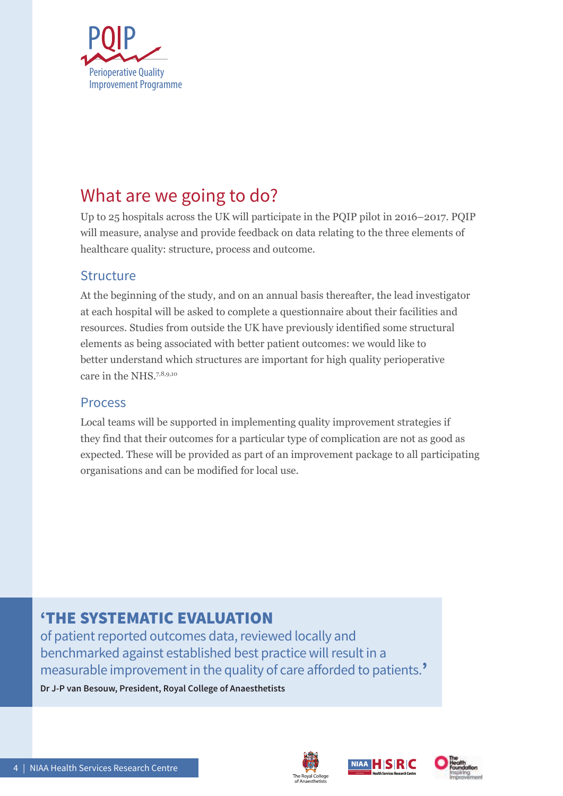

## What are we going to do?

Up to 25 hospitals across the UK will participate in the PQIP pilot in 2016–2017. PQIP will measure, analyse and provide feedback on data relating to the three elements of healthcare quality: structure, process and outcome.

#### **Structure**

At the beginning of the study, and on an annual basis thereafter, the lead investigator at each hospital will be asked to complete a questionnaire about their facilities and resources. Studies from outside the UK have previously identified some structural elements as being associated with better patient outcomes: we would like to better understand which structures are important for high quality perioperative care in the NHS.7,8,9,10

#### Process

Local teams will be supported in implementing quality improvement strategies if they find that their outcomes for a particular type of complication are not as good as expected. These will be provided as part of an improvement package to all participating organisations and can be modified for local use.

## 'THE SYSTEMATIC EVALUATION

of patient reported outcomes data, reviewed locally and benchmarked against established best practice will result in a measurable improvement in the quality of care afforded to patients.'

**Dr J-P van Besouw, President, Royal College of Anaesthetists**





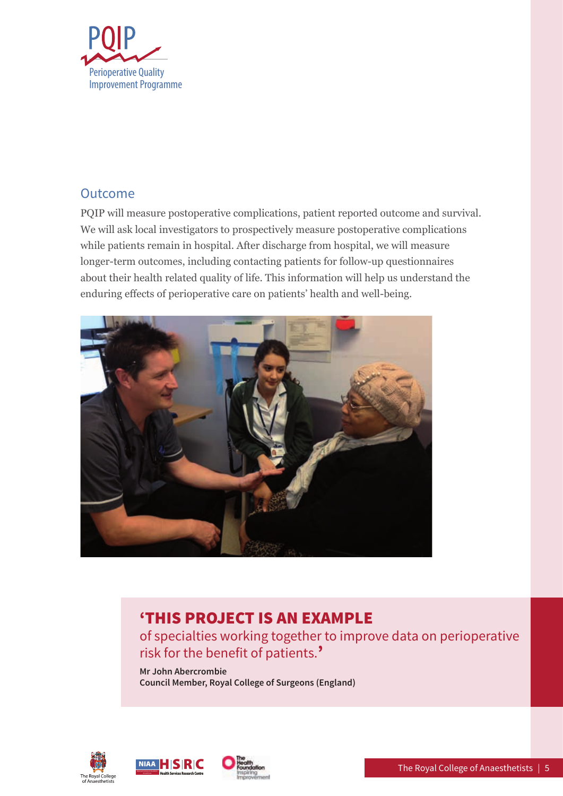

#### Outcome

PQIP will measure postoperative complications, patient reported outcome and survival. We will ask local investigators to prospectively measure postoperative complications while patients remain in hospital. After discharge from hospital, we will measure longer-term outcomes, including contacting patients for follow-up questionnaires about their health related quality of life. This information will help us understand the enduring effects of perioperative care on patients' health and well-being.



## 'THIS PROJECT IS AN EXAMPLE

of specialties working together to improve data on perioperative risk for the benefit of patients.'

**Mr John Abercrombie Council Member, Royal College of Surgeons (England)**





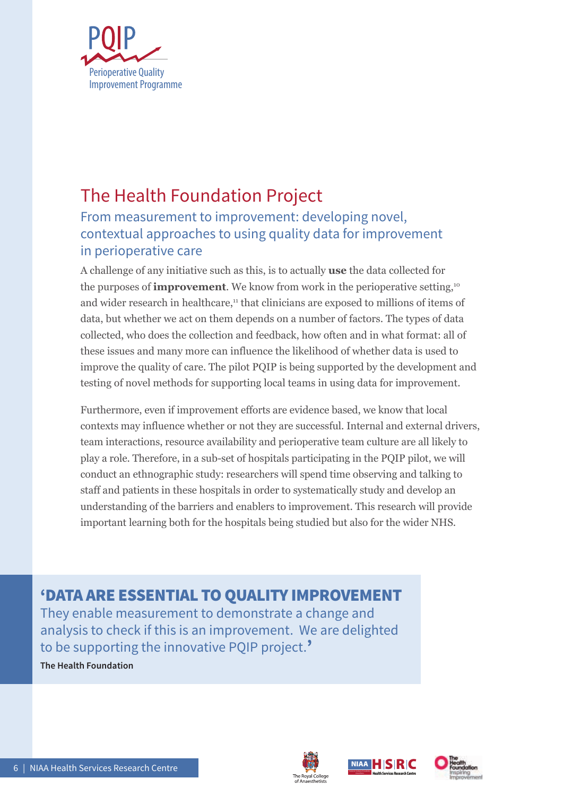

## The Health Foundation Project

#### From measurement to improvement: developing novel, contextual approaches to using quality data for improvement in perioperative care

A challenge of any initiative such as this, is to actually **use** the data collected for the purposes of **improvement**. We know from work in the perioperative setting,<sup>10</sup> and wider research in healthcare,<sup>11</sup> that clinicians are exposed to millions of items of data, but whether we act on them depends on a number of factors. The types of data collected, who does the collection and feedback, how often and in what format: all of these issues and many more can influence the likelihood of whether data is used to improve the quality of care. The pilot PQIP is being supported by the development and testing of novel methods for supporting local teams in using data for improvement.

Furthermore, even if improvement efforts are evidence based, we know that local contexts may influence whether or not they are successful. Internal and external drivers, team interactions, resource availability and perioperative team culture are all likely to play a role. Therefore, in a sub-set of hospitals participating in the PQIP pilot, we will conduct an ethnographic study: researchers will spend time observing and talking to staff and patients in these hospitals in order to systematically study and develop an understanding of the barriers and enablers to improvement. This research will provide important learning both for the hospitals being studied but also for the wider NHS.

## 'DATA ARE ESSENTIAL TO QUALITY IMPROVEMENT

They enable measurement to demonstrate a change and analysis to check if this is an improvement. We are delighted to be supporting the innovative PQIP project.' **The Health Foundation**





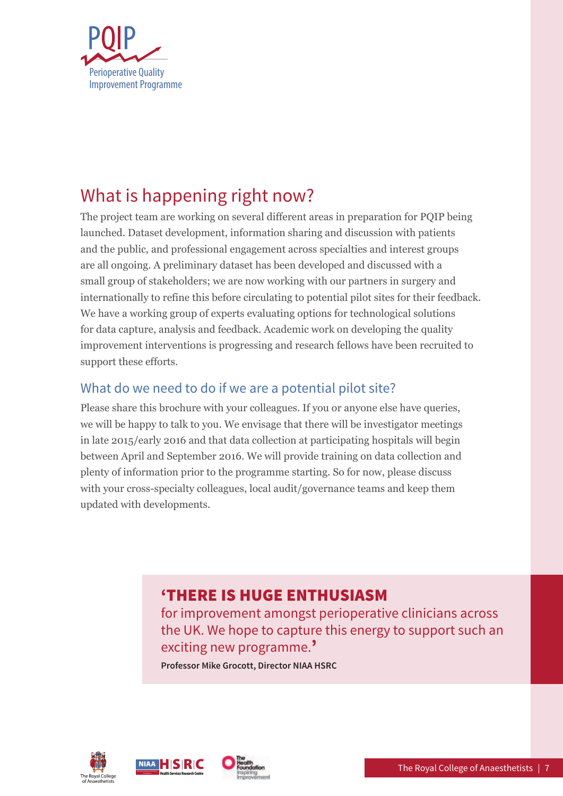

## What is happening right now?

The project team are working on several different areas in preparation for PQIP being launched. Dataset development, information sharing and discussion with patients and the public, and professional engagement across specialties and interest groups are all ongoing. A preliminary dataset has been developed and discussed with a small group of stakeholders; we are now working with our partners in surgery and internationally to refine this before circulating to potential pilot sites for their feedback. We have a working group of experts evaluating options for technological solutions for data capture, analysis and feedback. Academic work on developing the quality improvement interventions is progressing and research fellows have been recruited to support these efforts.

#### What do we need to do if we are a potential pilot site?

Please share this brochure with your colleagues. If you or anyone else have queries, we will be happy to talk to you. We envisage that there will be investigator meetings in late 2015/early 2016 and that data collection at participating hospitals will begin between April and September 2016. We will provide training on data collection and plenty of information prior to the programme starting. So for now, please discuss with your cross-specialty colleagues, local audit/governance teams and keep them updated with developments.

#### 'THERE IS HUGE ENTHUSIASM

for improvement amongst perioperative clinicians across the UK. We hope to capture this energy to support such an exciting new programme.<sup>'</sup>

**Professor Mike Grocott, Director NIAA HSRC**





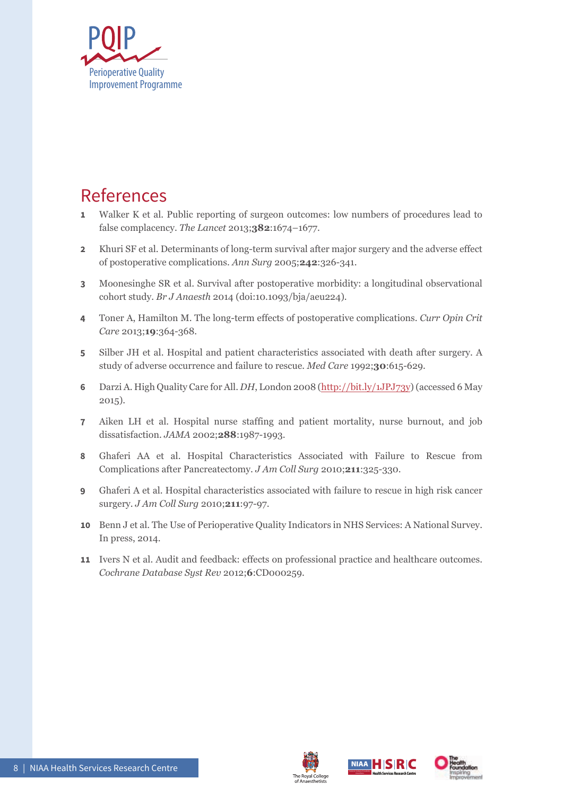

## References

- **1** Walker K et al. Public reporting of surgeon outcomes: low numbers of procedures lead to false complacency. *The Lancet* 2013;**382**:1674–1677.
- **2** Khuri SF et al. Determinants of long-term survival after major surgery and the adverse effect of postoperative complications. *Ann Surg* 2005;**242**:326-341.
- **3** Moonesinghe SR et al. Survival after postoperative morbidity: a longitudinal observational cohort study. *Br J Anaesth* 2014 (doi:10.1093/bja/aeu224).
- **4** Toner A, Hamilton M. The long-term effects of postoperative complications. *Curr Opin Crit Care* 2013;**19**:364-368.
- **5** Silber JH et al. Hospital and patient characteristics associated with death after surgery. A study of adverse occurrence and failure to rescue. *Med Care* 1992;**30**:615-629.
- **6** Darzi A. High Quality Care for All. *DH*, London 2008 (http://bit.ly/1JPJ73y) (accessed 6 May 2015).
- **7** Aiken LH et al. Hospital nurse staffing and patient mortality, nurse burnout, and job dissatisfaction. *JAMA* 2002;**288**:1987-1993.
- **8** Ghaferi AA et al. Hospital Characteristics Associated with Failure to Rescue from Complications after Pancreatectomy. *J Am Coll Surg* 2010;**211**:325-330.
- **9** Ghaferi A et al. Hospital characteristics associated with failure to rescue in high risk cancer surgery. *J Am Coll Surg* 2010;**211**:97-97.
- **10** Benn J et al. The Use of Perioperative Quality Indicators in NHS Services: A National Survey. In press, 2014.
- **11** Ivers N et al. Audit and feedback: effects on professional practice and healthcare outcomes. *Cochrane Database Syst Rev* 2012;**6**:CD000259.





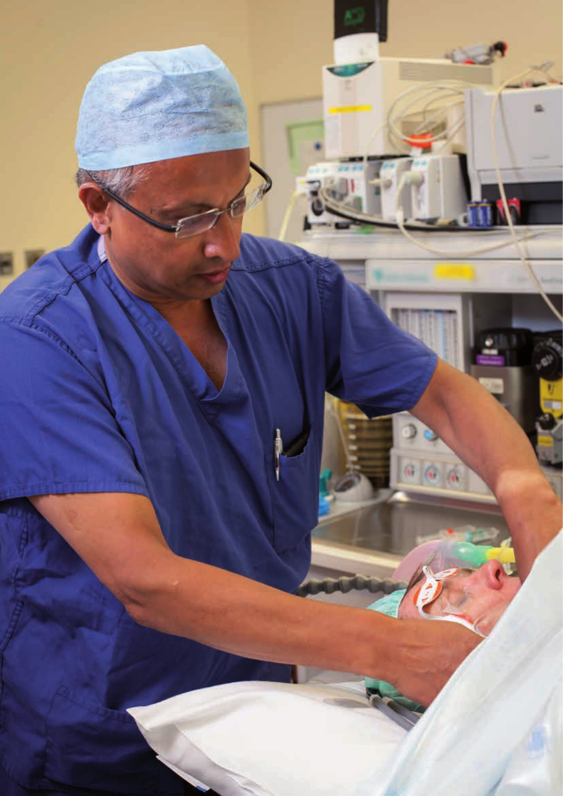